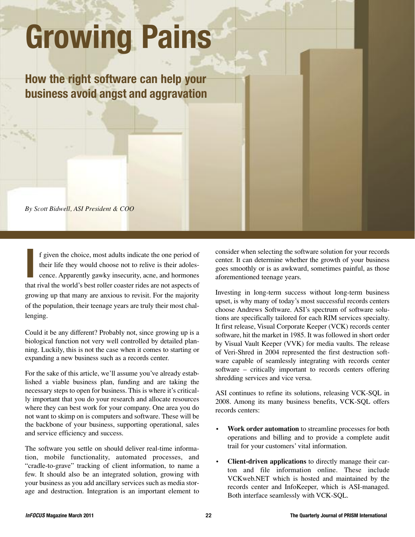## **Growing Pains**

**How the right software can help your business avoid angst and aggravation** 

*By Scott Bidwell, ASI President & COO*

**I** f given the choice, most adults indicate the one period of their life they would choose not to relive is their adolescence. Apparently gawky insecurity, acne, and hormones that rival the world's best roller coaster rides are not aspects of growing up that many are anxious to revisit. For the majority of the population, their teenage years are truly their most challenging.

Could it be any different? Probably not, since growing up is a biological function not very well controlled by detailed planning. Luckily, this is not the case when it comes to starting or expanding a new business such as a records center.

For the sake of this article, we'll assume you've already established a viable business plan, funding and are taking the necessary steps to open for business. This is where it's critically important that you do your research and allocate resources where they can best work for your company. One area you do not want to skimp on is computers and software. These will be the backbone of your business, supporting operational, sales and service efficiency and success.

The software you settle on should deliver real-time information, mobile functionality, automated processes, and "cradle-to-grave" tracking of client information, to name a few. It should also be an integrated solution, growing with your business as you add ancillary services such as media storage and destruction. Integration is an important element to

consider when selecting the software solution for your records center. It can determine whether the growth of your business goes smoothly or is as awkward, sometimes painful, as those aforementioned teenage years.

Investing in long-term success without long-term business upset, is why many of today's most successful records centers choose Andrews Software. ASI's spectrum of software solutions are specifically tailored for each RIM services specialty. It first release, Visual Corporate Keeper (VCK) records center software, hit the market in 1985. It was followed in short order by Visual Vault Keeper (VVK) for media vaults. The release of Veri-Shred in 2004 represented the first destruction software capable of seamlessly integrating with records center software – critically important to records centers offering shredding services and vice versa.

ASI continues to refine its solutions, releasing VCK-SQL in 2008. Among its many business benefits, VCK-SQL offers records centers:

- **Work order automation** to streamline processes for both operations and billing and to provide a complete audit trail for your customers' vital information.
- **Client-driven applications** to directly manage their carton and file information online. These include VCKweb.NET which is hosted and maintained by the records center and InfoKeeper, which is ASI-managed. Both interface seamlessly with VCK-SQL.